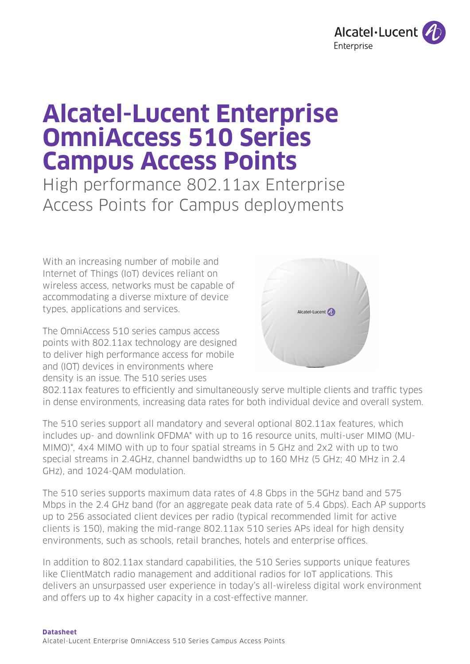

# **Alcatel-Lucent Enterprise OmniAccess 510 Series Campus Access Points**

High performance 802.11ax Enterprise Access Points for Campus deployments

With an increasing number of mobile and Internet of Things (IoT) devices reliant on wireless access, networks must be capable of accommodating a diverse mixture of device types, applications and services.

The OmniAccess 510 series campus access points with 802.11ax technology are designed to deliver high performance access for mobile and (IOT) devices in environments where density is an issue. The 510 series uses



802.11ax features to efficiently and simultaneously serve multiple clients and traffic types in dense environments, increasing data rates for both individual device and overall system.

The 510 series support all mandatory and several optional 802.11ax features, which includes up- and downlink OFDMA\* with up to 16 resource units, multi-user MIMO (MU-MIMO)\*, 4x4 MIMO with up to four spatial streams in 5 GHz and 2x2 with up to two special streams in 2.4GHz, channel bandwidths up to 160 MHz (5 GHz; 40 MHz in 2.4 GHz), and 1024-QAM modulation.

The 510 series supports maximum data rates of 4.8 Gbps in the 5GHz band and 575 Mbps in the 2.4 GHz band (for an aggregate peak data rate of 5.4 Gbps). Each AP supports up to 256 associated client devices per radio (typical recommended limit for active clients is 150), making the mid-range 802.11ax 510 series APs ideal for high density environments, such as schools, retail branches, hotels and enterprise offices.

In addition to 802.11ax standard capabilities, the 510 Series supports unique features like ClientMatch radio management and additional radios for IoT applications. This delivers an unsurpassed user experience in today's all-wireless digital work environment and offers up to 4x higher capacity in a cost-effective manner.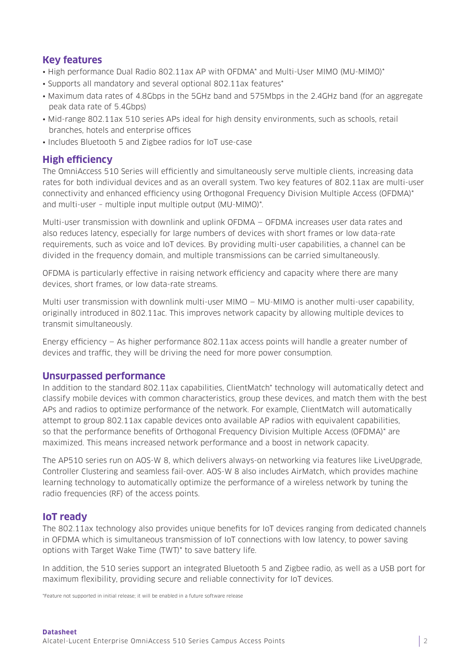# **Key features**

- High performance Dual Radio 802.11ax AP with OFDMA\* and Multi-User MIMO (MU-MIMO)\*
- Supports all mandatory and several optional 802.11ax features\*
- Maximum data rates of 4.8Gbps in the 5GHz band and 575Mbps in the 2.4GHz band (for an aggregate peak data rate of 5.4Gbps)
- Mid-range 802.11ax 510 series APs ideal for high density environments, such as schools, retail branches, hotels and enterprise offices
- Includes Bluetooth 5 and Zigbee radios for IoT use-case

# **High efficiency**

The OmniAccess 510 Series will efficiently and simultaneously serve multiple clients, increasing data rates for both individual devices and as an overall system. Two key features of 802.11ax are multi-user connectivity and enhanced efficiency using Orthogonal Frequency Division Multiple Access (OFDMA)\* and multi-user – multiple input multiple output (MU-MIMO)\*.

Multi-user transmission with downlink and uplink OFDMA — OFDMA increases user data rates and also reduces latency, especially for large numbers of devices with short frames or low data-rate requirements, such as voice and IoT devices. By providing multi-user capabilities, a channel can be divided in the frequency domain, and multiple transmissions can be carried simultaneously.

OFDMA is particularly effective in raising network efficiency and capacity where there are many devices, short frames, or low data-rate streams.

Multi user transmission with downlink multi-user MIMO — MU-MIMO is another multi-user capability, originally introduced in 802.11ac. This improves network capacity by allowing multiple devices to transmit simultaneously.

Energy efficiency — As higher performance 802.11ax access points will handle a greater number of devices and traffic, they will be driving the need for more power consumption.

## **Unsurpassed performance**

In addition to the standard 802.11ax capabilities, ClientMatch\* technology will automatically detect and classify mobile devices with common characteristics, group these devices, and match them with the best APs and radios to optimize performance of the network. For example, ClientMatch will automatically attempt to group 802.11ax capable devices onto available AP radios with equivalent capabilities, so that the performance benefits of Orthogonal Frequency Division Multiple Access (OFDMA)\* are maximized. This means increased network performance and a boost in network capacity.

The AP510 series run on AOS-W 8, which delivers always-on networking via features like LiveUpgrade, Controller Clustering and seamless fail-over. AOS-W 8 also includes AirMatch, which provides machine learning technology to automatically optimize the performance of a wireless network by tuning the radio frequencies (RF) of the access points.

## **IoT ready**

The 802.11ax technology also provides unique benefits for IoT devices ranging from dedicated channels in OFDMA which is simultaneous transmission of IoT connections with low latency, to power saving options with Target Wake Time (TWT)\* to save battery life.

In addition, the 510 series support an integrated Bluetooth 5 and Zigbee radio, as well as a USB port for maximum flexibility, providing secure and reliable connectivity for IoT devices.

\*Feature not supported in initial release; it will be enabled in a future software release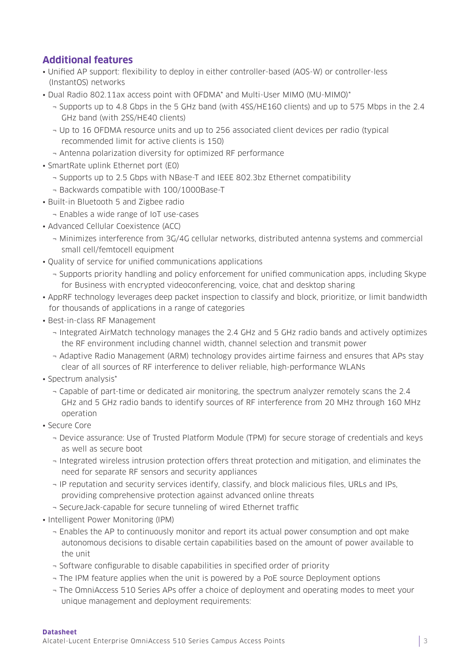# **Additional features**

- Unified AP support: flexibility to deploy in either controller-based (AOS-W) or controller-less (InstantOS) networks
- Dual Radio 802.11ax access point with OFDMA\* and Multi-User MIMO (MU-MIMO)\*
	- ¬ Supports up to 4.8 Gbps in the 5 GHz band (with 4SS/HE160 clients) and up to 575 Mbps in the 2.4 GHz band (with 2SS/HE40 clients)
	- ¬ Up to 16 OFDMA resource units and up to 256 associated client devices per radio (typical recommended limit for active clients is 150)
	- ¬ Antenna polarization diversity for optimized RF performance
- SmartRate uplink Ethernet port (E0)
	- ¬ Supports up to 2.5 Gbps with NBase-T and IEEE 802.3bz Ethernet compatibility
	- ¬ Backwards compatible with 100/1000Base-T
- Built-in Bluetooth 5 and Zigbee radio
	- ¬ Enables a wide range of IoT use-cases
- Advanced Cellular Coexistence (ACC)
	- ¬ Minimizes interference from 3G/4G cellular networks, distributed antenna systems and commercial small cell/femtocell equipment
- Quality of service for unified communications applications
	- ¬ Supports priority handling and policy enforcement for unified communication apps, including Skype for Business with encrypted videoconferencing, voice, chat and desktop sharing
- AppRF technology leverages deep packet inspection to classify and block, prioritize, or limit bandwidth for thousands of applications in a range of categories
- Best-in-class RF Management
	- ¬ Integrated AirMatch technology manages the 2.4 GHz and 5 GHz radio bands and actively optimizes the RF environment including channel width, channel selection and transmit power
	- ¬ Adaptive Radio Management (ARM) technology provides airtime fairness and ensures that APs stay clear of all sources of RF interference to deliver reliable, high-performance WLANs
- Spectrum analysis\*
	- ¬ Capable of part-time or dedicated air monitoring, the spectrum analyzer remotely scans the 2.4 GHz and 5 GHz radio bands to identify sources of RF interference from 20 MHz through 160 MHz operation
- Secure Core
	- ¬ Device assurance: Use of Trusted Platform Module (TPM) for secure storage of credentials and keys as well as secure boot
	- ¬ Integrated wireless intrusion protection offers threat protection and mitigation, and eliminates the need for separate RF sensors and security appliances
	- ¬ IP reputation and security services identify, classify, and block malicious files, URLs and IPs, providing comprehensive protection against advanced online threats
	- ¬ SecureJack-capable for secure tunneling of wired Ethernet traffic
- Intelligent Power Monitoring (IPM)
	- ¬ Enables the AP to continuously monitor and report its actual power consumption and opt make autonomous decisions to disable certain capabilities based on the amount of power available to the unit
	- ¬ Software configurable to disable capabilities in specified order of priority
	- ¬ The IPM feature applies when the unit is powered by a PoE source Deployment options
	- ¬ The OmniAccess 510 Series APs offer a choice of deployment and operating modes to meet your unique management and deployment requirements: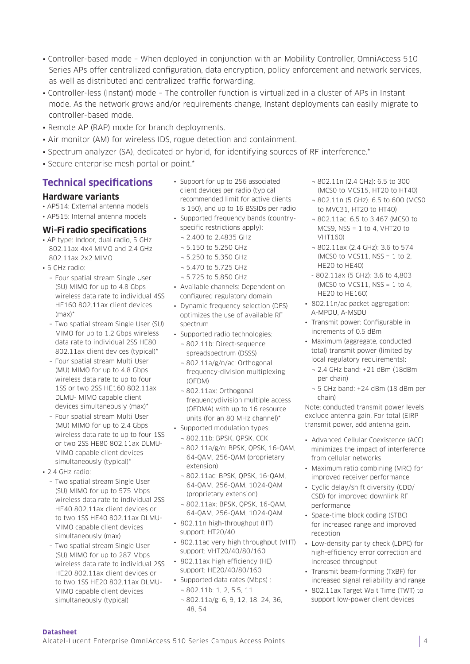- Controller-based mode When deployed in conjunction with an Mobility Controller, OmniAccess 510 Series APs offer centralized configuration, data encryption, policy enforcement and network services, as well as distributed and centralized traffic forwarding.
- Controller-less (Instant) mode The controller function is virtualized in a cluster of APs in Instant mode. As the network grows and/or requirements change, Instant deployments can easily migrate to controller-based mode.
- Remote AP (RAP) mode for branch deployments.
- Air monitor (AM) for wireless IDS, rogue detection and containment.
- Spectrum analyzer (SA), dedicated or hybrid, for identifying sources of RF interference.\*
- Secure enterprise mesh portal or point.\*

## **Technical specifications**

#### **Hardware variants**

- AP514: External antenna models
- AP515: Internal antenna models

#### **Wi-Fi radio specifications**

- AP type: Indoor, dual radio, 5 GHz 802.11ax 4x4 MIMO and 2.4 GHz 802.11ax 2x2 MIMO
- 5 GHz radio:
	- ¬ Four spatial stream Single User (SU) MIMO for up to 4.8 Gbps wireless data rate to individual 4SS HE160 802.11ax client devices  $(max)^*$
	- ¬ Two spatial stream Single User (SU) MIMO for up to 1.2 Gbps wireless data rate to individual 2SS HE80 802.11ax client devices (typical)\*
	- ¬ Four spatial stream Multi User (MU) MIMO for up to 4.8 Gbps wireless data rate to up to four 1SS or two 2SS HE160 802.11ax DLMU- MIMO capable client devices simultaneously (max)\*
	- ¬ Four spatial stream Multi User (MU) MIMO for up to 2.4 Gbps wireless data rate to up to four 1SS or two 2SS HE80 802.11ax DLMU-MIMO capable client devices simultaneously (typical)\*
- 2.4 GHz radio:

**Datasheet**

- ¬ Two spatial stream Single User (SU) MIMO for up to 575 Mbps wireless data rate to individual 2SS HE40 802.11ax client devices or to two 1SS HE40 802.11ax DLMU-MIMO capable client devices simultaneously (max)
- ¬ Two spatial stream Single User (SU) MIMO for up to 287 Mbps wireless data rate to individual 2SS HE20 802.11ax client devices or to two 1SS HE20 802.11ax DLMU-MIMO capable client devices simultaneously (typical)
- Support for up to 256 associated client devices per radio (typical recommended limit for active clients is 150), and up to 16 BSSIDs per radio
- Supported frequency bands (countryspecific restrictions apply):
	- ¬ 2.400 to 2.4835 GHz
	- ¬ 5.150 to 5.250 GHz
	- ¬ 5.250 to 5.350 GHz
	- ¬ 5.470 to 5.725 GHz
	- ¬ 5.725 to 5.850 GHz
- Available channels: Dependent on configured regulatory domain
- Dynamic frequency selection (DFS) optimizes the use of available RF spectrum
- Supported radio technologies:
- ¬ 802.11b: Direct-sequence spreadspectrum (DSSS)
- ¬ 802.11a/g/n/ac: Orthogonal frequency-division multiplexing (OFDM)
- ¬ 802.11ax: Orthogonal frequencydivision multiple access (OFDMA) with up to 16 resource units (for an 80 MHz channel)\*
- Supported modulation types:
- ¬ 802.11b: BPSK, QPSK, CCK
- ¬ 802.11a/g/n: BPSK, QPSK, 16-QAM, 64-QAM, 256-QAM (proprietary extension)
- ¬ 802.11ac: BPSK, QPSK, 16-QAM, 64-QAM, 256-QAM, 1024-QAM (proprietary extension)
- ¬ 802.11ax: BPSK, QPSK, 16-QAM, 64-QAM, 256-QAM, 1024-QAM
- 802.11n high-throughput (HT) support: HT20/40
- 802.11ac very high throughput (VHT) support: VHT20/40/80/160
- 802.11ax high efficiency (HE) support: HE20/40/80/160
- Supported data rates (Mbps) : ¬ 802.11b: 1, 2, 5.5, 11
- ¬ 802.11a/g: 6, 9, 12, 18, 24, 36, 48, 54
- ¬ 802.11n (2.4 GHz): 6.5 to 300 (MCS0 to MCS15, HT20 to HT40)
- ¬ 802.11n (5 GHz): 6.5 to 600 (MCS0 to MVC31, HT20 to HT40)
- ¬ 802.11ac: 6.5 to 3,467 (MCS0 to MCS9, NSS = 1 to 4, VHT20 to VHT160)
- ¬ 802.11ax (2.4 GHz): 3.6 to 574 (MCS0 to MCS11, NSS = 1 to 2, HE20 to HE40)
- 802.11ax (5 GHz): 3.6 to 4,803 (MCSO to MCS11, NSS = 1 to 4, HE20 to HE160)
- 802.11n/ac packet aggregation: A-MPDU, A-MSDU
- Transmit power: Configurable in increments of 0.5 dBm
- Maximum (aggregate, conducted total) transmit power (limited by local regulatory requirements):
	- ¬ 2.4 GHz band: +21 dBm (18dBm per chain)
	- ¬ 5 GHz band: +24 dBm (18 dBm per chain)

Note: conducted transmit power levels exclude antenna gain. For total (EIRP transmit power, add antenna gain.

- Advanced Cellular Coexistence (ACC) minimizes the impact of interference from cellular networks
- Maximum ratio combining (MRC) for improved receiver performance
- Cyclic delay/shift diversity (CDD/ CSD) for improved downlink RF performance
- Space-time block coding (STBC) for increased range and improved reception
- Low-density parity check (LDPC) for high-efficiency error correction and increased throughput
- Transmit beam-forming (TxBF) for increased signal reliability and range
- 802.11ax Target Wait Time (TWT) to support low-power client devices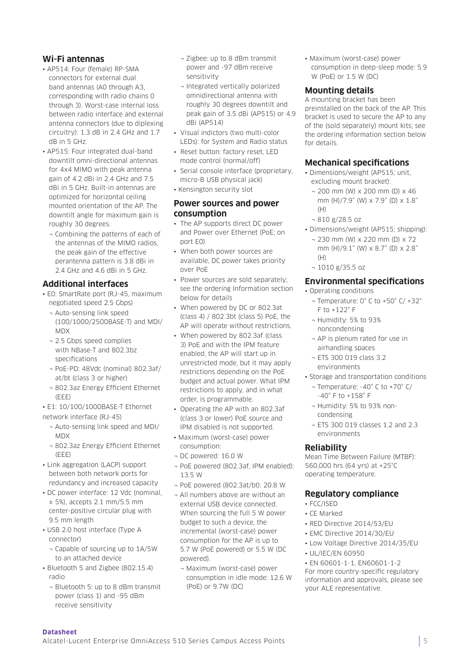#### **Wi-Fi antennas**

- AP514: Four (female) RP-SMA connectors for external dual band antennas (A0 through A3, corresponding with radio chains 0 through 3). Worst-case internal loss between radio interface and external antenna connectors (due to diplexing circuitry): 1.3 dB in 2.4 GHz and 1.7 dB in 5 GHz.
- AP515: Four integrated dual-band downtilt omni-directional antennas for 4x4 MIMO with peak antenna gain of 4.2 dBi in 2.4 GHz and 7.5 dBi in 5 GHz. Built-in antennas are optimized for horizontal ceiling mounted orientation of the AP. The downtilt angle for maximum gain is roughly 30 degrees.
	- ¬ Combining the patterns of each of the antennas of the MIMO radios, the peak gain of the effective perantenna pattern is 3.8 dBi in 2.4 GHz and 4.6 dBi in 5 GHz.

## **Additional interfaces**

- E0: SmartRate port (RJ-45, maximum negotiated speed 2.5 Gbps)
	- ¬ Auto-sensing link speed (100/1000/2500BASE-T) and MDI/ MDX
	- ¬ 2.5 Gbps speed complies with NBase-T and 802.3bz specifications
	- ¬ PoE-PD: 48Vdc (nominal) 802.3af/ at/bt (class 3 or higher)
	- ¬ 802.3az Energy Efficient Ethernet (EEE)
- E1: 10/100/1000BASE-T Ethernet network interface (RJ-45)
	- ¬ Auto-sensing link speed and MDI/ MDX
	- ¬ 802.3az Energy Efficient Ethernet (EEE)
- Link aggregation (LACP) support between both network ports for redundancy and increased capacity
- DC power interface: 12 Vdc (nominal,  $± 5%$ ), accepts 2.1 mm/5.5 mm center-positive circular plug with 9.5 mm length
- USB 2.0 host interface (Type A connector)
	- ¬ Capable of sourcing up to 1A/5W to an attached device
- Bluetooth 5 and Zigbee (802.15.4) radio
	- ¬ Bluetooth 5: up to 8 dBm transmit power (class 1) and -95 dBm receive sensitivity
- ¬ Zigbee: up to 8 dBm transmit power and -97 dBm receive sensitivity
- ¬ Integrated vertically polarized omnidirectional antenna with roughly 30 degrees downtilt and peak gain of 3.5 dBi (AP515) or 4.9 dBi (AP514)
- Visual indictors (two multi-color LEDs): for System and Radio status
- Reset button: factory reset, LED mode control (normal/off)
- Serial console interface (proprietary, micro-B USB physical jack)
- Kensington security slot

#### **Power sources and power consumption**

- The AP supports direct DC power and Power over Ethernet (PoE; on port E0)
- When both power sources are available, DC power takes priority over PoE
- Power sources are sold separately; see the ordering Information section below for details
- When powered by DC or 802.3at (class 4) / 802.3bt (class 5) PoE, the AP will operate without restrictions.
- When powered by 802.3af (class 3) PoE and with the IPM feature enabled, the AP will start up in unrestricted mode, but it may apply restrictions depending on the PoE budget and actual power. What IPM restrictions to apply, and in what order, is programmable.
- Operating the AP with an 802.3af (class 3 or lower) PoE source and IPM disabled is not supported.
- Maximum (worst-case) power consumption:
- ¬ DC powered: 16.0 W
- ¬ PoE powered (802.3af, IPM enabled): 13.5 W
- ¬ PoE powered (802.3at/bt): 20.8 W
- ¬ All numbers above are without an external USB device connected. When sourcing the full 5 W power budget to such a device, the incremental (worst-case) power consumption for the AP is up to 5.7 W (PoE powered) or 5.5 W (DC powered).
- ¬ Maximum (worst-case) power consumption in idle mode: 12.6 W (PoE) or 9.7W (DC)

• Maximum (worst-case) power consumption in deep-sleep mode: 5.9 W (PoE) or 1.5 W (DC)

#### **Mounting details**

A mounting bracket has been preinstalled on the back of the AP. This bracket is used to secure the AP to any of the (sold separately) mount kits; see the ordering information section below for details.

#### **Mechanical specifications**

- Dimensions/weight (AP515; unit, excluding mount bracket):
	- ¬ 200 mm (W) x 200 mm (D) x 46 mm (H)/7.9" (W) x 7.9" (D) x 1.8" (H)
	- ¬ 810 g/28.5 oz
- Dimensions/weight (AP515; shipping):
	- ¬ 230 mm (W) x 220 mm (D) x 72 mm (H)/9.1" (W) x 8.7" (D) x 2.8"  $(H)$
	- ¬ 1010 g/35.5 oz

## **Environmental specifications**

• Operating conditions

- ¬ Temperature: 0° C to +50° C/ +32° F to +122° F
- ¬ Humidity: 5% to 93% noncondensing
- ¬ AP is plenum rated for use in airhandling spaces
- ¬ ETS 300 019 class 3.2 environments
- Storage and transportation conditions
	- ¬ Temperature: -40° C to +70° C/ -40° F to +158° F
	- ¬ Humidity: 5% to 93% noncondensing
	- ¬ ETS 300 019 classes 1.2 and 2.3 environments

#### **Reliability**

Mean Time Between Failure (MTBF): 560,000 hrs (64 yrs) at +25°C operating temperature.

#### **Regulatory compliance**

- FCC/ISED
- CE Marked
- RED Directive 2014/53/EU
- EMC Directive 2014/30/EU
- Low Voltage Directive 2014/35/EU
- UL/IEC/EN 60950

• EN 60601-1-1, EN60601-1-2 For more country-specific regulatory information and approvals, please see your ALE representative.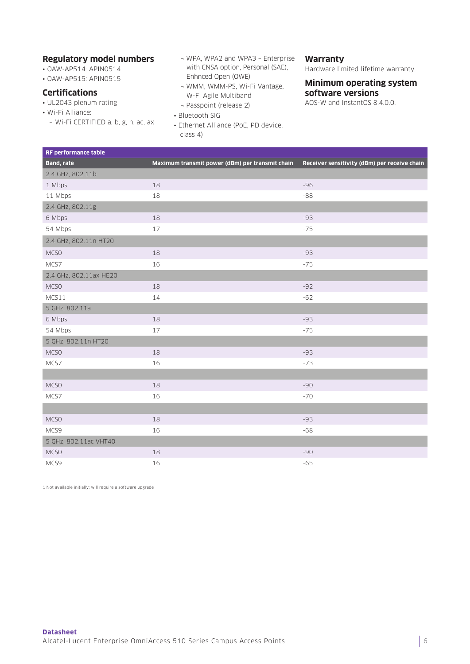#### **Regulatory model numbers**

- OAW-AP514: APIN0514
- OAW-AP515: APIN0515

#### **Certifications**

- UL2043 plenum rating
- Wi-Fi Alliance:
	- ¬ Wi-Fi CERTIFIED a, b, g, n, ac, ax
- ¬ WPA, WPA2 and WPA3 Enterprise with CNSA option, Personal (SAE), Enhnced Open (OWE)
- ¬ WMM, WMM-PS, Wi-Fi Vantage, W-Fi Agile Multiband
- ¬ Passpoint (release 2)
- Bluetooth SIG
- Ethernet Alliance (PoE, PD device, class 4)

#### **Warranty**

Hardware limited lifetime warranty.

#### **Minimum operating system software versions**

AOS-W and InstantOS 8.4.0.0.

| RF performance table   |                                                 |                                              |
|------------------------|-------------------------------------------------|----------------------------------------------|
| <b>Band, rate</b>      | Maximum transmit power (dBm) per transmit chain | Receiver sensitivity (dBm) per receive chain |
| 2.4 GHz, 802.11b       |                                                 |                                              |
| 1 Mbps                 | 18                                              | $-96$                                        |
| 11 Mbps                | 18                                              | $-88$                                        |
| 2.4 GHz, 802.11g       |                                                 |                                              |
| 6 Mbps                 | 18                                              | $-93$                                        |
| 54 Mbps                | 17                                              | $-75$                                        |
| 2.4 GHz, 802.11n HT20  |                                                 |                                              |
| MCSO                   | 18                                              | $-93$                                        |
| MCS7                   | 16                                              | $-75$                                        |
| 2.4 GHz, 802.11ax HE20 |                                                 |                                              |
| MCSO                   | 18                                              | $-92$                                        |
| MCS11                  | 14                                              | $-62$                                        |
| 5 GHz, 802.11a         |                                                 |                                              |
| 6 Mbps                 | 18                                              | $-93$                                        |
| 54 Mbps                | 17                                              | $-75$                                        |
| 5 GHz, 802.11n HT20    |                                                 |                                              |
| MCSO                   | 18                                              | $-93$                                        |
| MCS7                   | 16                                              | $-73$                                        |
|                        |                                                 |                                              |
| MCSO                   | 18                                              | $-90$                                        |
| MCS7                   | 16                                              | $-70$                                        |
|                        |                                                 |                                              |
| MCSO                   | 18                                              | $-93$                                        |
| MCS9                   | 16                                              | $-68$                                        |
| 5 GHz, 802.11ac VHT40  |                                                 |                                              |
| MCSO                   | 18                                              | $-90$                                        |
| MCS9                   | 16                                              | $-65$                                        |

1 Not available initially; will require a software upgrade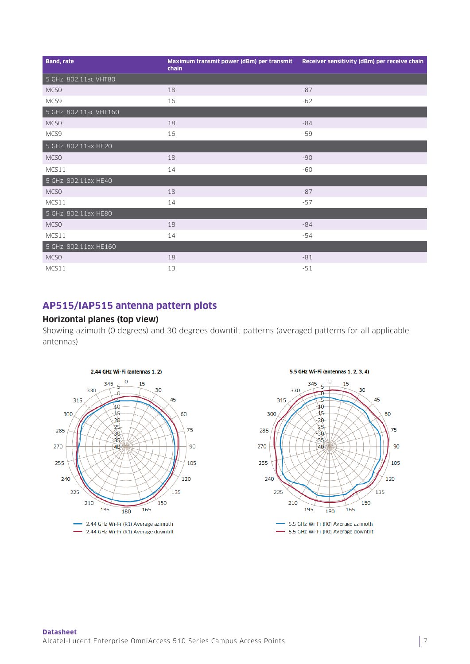| <b>Band, rate</b>      | Maximum transmit power (dBm) per transmit<br>chain | Receiver sensitivity (dBm) per receive chain |
|------------------------|----------------------------------------------------|----------------------------------------------|
| 5 GHz, 802.11ac VHT80  |                                                    |                                              |
| MCSO                   | 18                                                 | $-87$                                        |
| MCS9                   | 16                                                 | $-62$                                        |
| 5 GHz, 802.11ac VHT160 |                                                    |                                              |
| MCS <sub>0</sub>       | 18                                                 | $-84$                                        |
| MCS9                   | 16                                                 | $-59$                                        |
| 5 GHz, 802.11ax HE20   |                                                    |                                              |
| MCS <sub>0</sub>       | 18                                                 | $-90$                                        |
| MCS11                  | 14                                                 | $-60$                                        |
| 5 GHz, 802.11ax HE40   |                                                    |                                              |
| MCSO                   | 18                                                 | $-87$                                        |
| MCS11                  | 14                                                 | $-57$                                        |
| 5 GHz, 802.11ax HE80   |                                                    |                                              |
| MCSO                   | 18                                                 | $-84$                                        |
| MCS11                  | 14                                                 | $-54$                                        |
| 5 GHz, 802.11ax HE160  |                                                    |                                              |
| MCS <sub>0</sub>       | 18                                                 | $-81$                                        |
| MCS11                  | 13                                                 | $-51$                                        |

# **AP515/IAP515 antenna pattern plots**

#### **Horizontal planes (top view)**

Showing azimuth (0 degrees) and 30 degrees downtilt patterns (averaged patterns for all applicable antennas)



#### 5.5 GHz Wi-Fi (antennas 1, 2, 3, 4)



- 5.5 GHz Wi-Fi (RO) Average azimuth - 5.5 GHz Wi-Fi (RO) Average downtilt